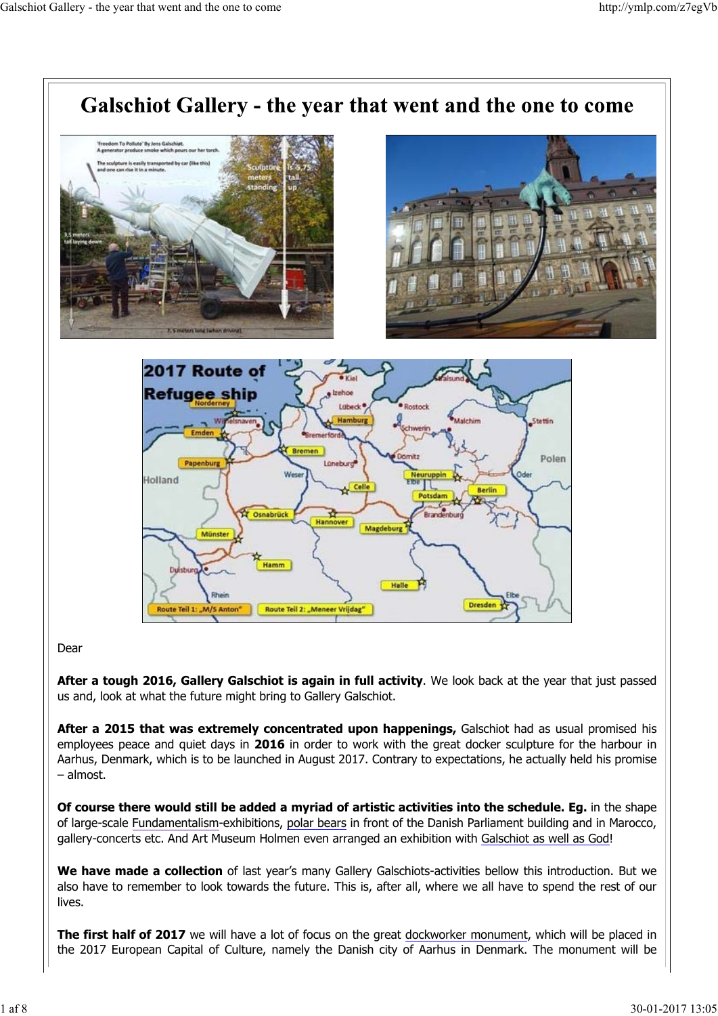

#### Dear

**After a tough 2016, Gallery Galschiot is again in full activity**. We look back at the year that just passed us and, look at what the future might bring to Gallery Galschiot.

**After a 2015 that was extremely concentrated upon happenings,** Galschiot had as usual promised his employees peace and quiet days in **2016** in order to work with the great docker sculpture for the harbour in Aarhus, Denmark, which is to be launched in August 2017. Contrary to expectations, he actually held his promise – almost.

**Of course there would still be added a myriad of artistic activities into the schedule. Eg.** in the shape of large-scale Fundamentalism-exhibitions, polar bears in front of the Danish Parliament building and in Marocco, gallery-concerts etc. And Art Museum Holmen even arranged an exhibition with Galschiot as well as God!

**We have made a collection** of last year's many Gallery Galschiots-activities bellow this introduction. But we also have to remember to look towards the future. This is, after all, where we all have to spend the rest of our lives.

**The first half of 2017** we will have a lot of focus on the great dockworker monument, which will be placed in the 2017 European Capital of Culture, namely the Danish city of Aarhus in Denmark. The monument will be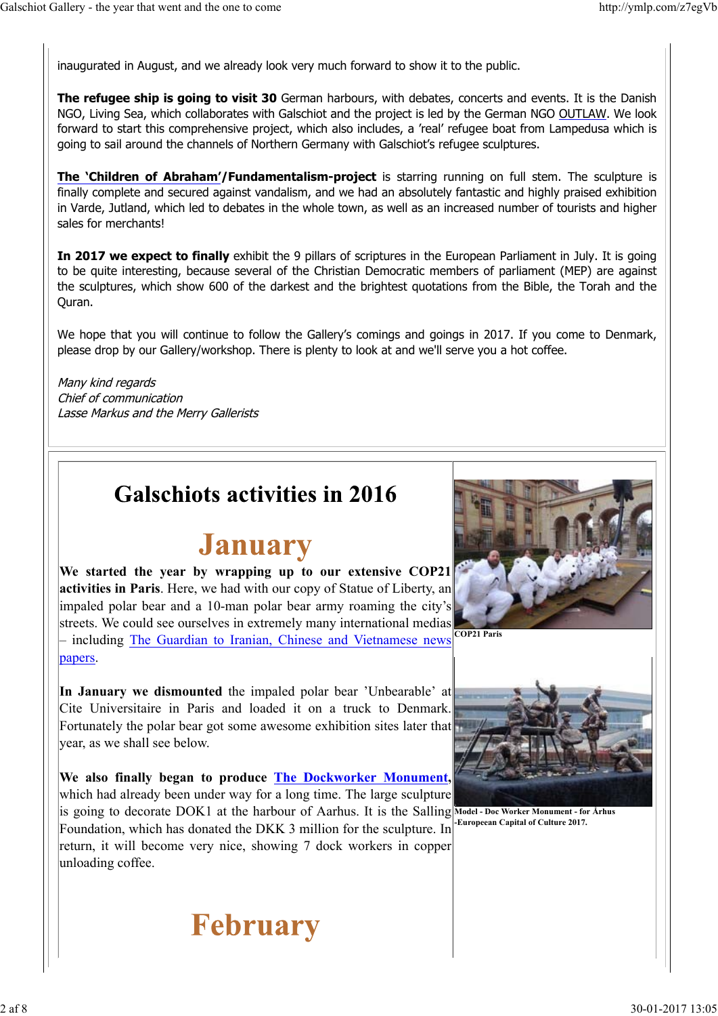inaugurated in August, and we already look very much forward to show it to the public.

**The refugee ship is going to visit 30** German harbours, with debates, concerts and events. It is the Danish NGO, Living Sea, which collaborates with Galschiot and the project is led by the German NGO OUTLAW. We look forward to start this comprehensive project, which also includes, a 'real' refugee boat from Lampedusa which is going to sail around the channels of Northern Germany with Galschiot's refugee sculptures.

**The 'Children of Abraham'/Fundamentalism-project** is starring running on full stem. The sculpture is finally complete and secured against vandalism, and we had an absolutely fantastic and highly praised exhibition in Varde, Jutland, which led to debates in the whole town, as well as an increased number of tourists and higher sales for merchants!

**In 2017 we expect to finally** exhibit the 9 pillars of scriptures in the European Parliament in July. It is going to be quite interesting, because several of the Christian Democratic members of parliament (MEP) are against the sculptures, which show 600 of the darkest and the brightest quotations from the Bible, the Torah and the Quran.

We hope that you will continue to follow the Gallery's comings and goings in 2017. If you come to Denmark, please drop by our Gallery/workshop. There is plenty to look at and we'll serve you a hot coffee.

Many kind regards Chief of communication Lasse Markus and the Merry Gallerists

#### **Galschiots activities in 2016**

#### **January**

**We started the year by wrapping up to our extensive COP21 activities in Paris**. Here, we had with our copy of Statue of Liberty, an impaled polar bear and a 10-man polar bear army roaming the city's streets. We could see ourselves in extremely many international medias – including The Guardian to Iranian, Chinese and Vietnamese news

papers.

**In January we dismounted** the impaled polar bear 'Unbearable' at Cite Universitaire in Paris and loaded it on a truck to Denmark. Fortunately the polar bear got some awesome exhibition sites later that year, as we shall see below.

**We also finally began to produce The Dockworker Monument,** which had already been under way for a long time. The large sculpture is going to decorate DOK1 at the harbour of Aarhus. It is the Salling Model-Doc Worker Monument-for Arhus Foundation, which has donated the DKK 3 million for the sculpture. In return, it will become very nice, showing 7 dock workers in copper unloading coffee.



**COP21 Paris**



**-Europeean Capital of Culture 2017.**

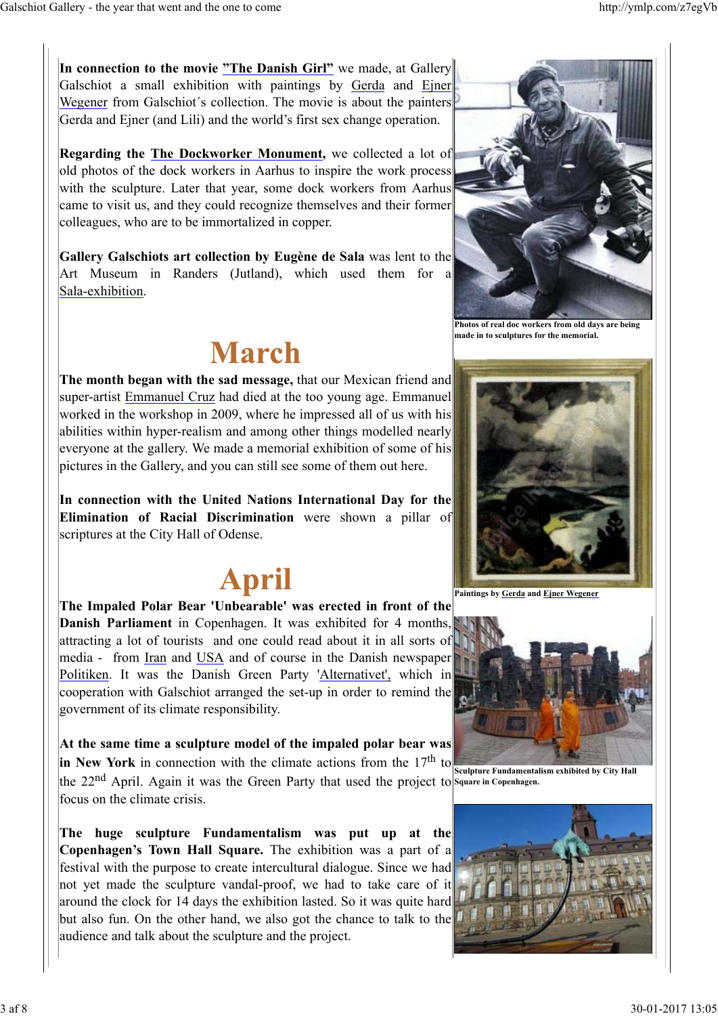**In connection to the movie "The Danish Girl"** we made, at Gallery Galschiot a small exhibition with paintings by Gerda and Ejner Wegener from Galschiot´s collection. The movie is about the painters Gerda and Ejner (and Lili) and the world's first sex change operation.

**Regarding the The Dockworker Monument,** we collected a lot of old photos of the dock workers in Aarhus to inspire the work process with the sculpture. Later that year, some dock workers from Aarhus came to visit us, and they could recognize themselves and their former colleagues, who are to be immortalized in copper.

**Gallery Galschiots art collection by Eugène de Sala** was lent to the Art Museum in Randers (Jutland), which used them for a Sala-exhibition.

### **March**

**The month began with the sad message,** that our Mexican friend and super-artist Emmanuel Cruz had died at the too young age. Emmanuel worked in the workshop in 2009, where he impressed all of us with his abilities within hyper-realism and among other things modelled nearly everyone at the gallery. We made a memorial exhibition of some of his pictures in the Gallery, and you can still see some of them out here.

**In connection with the United Nations International Day for the Elimination of Racial Discrimination** were shown a pillar of scriptures at the City Hall of Odense.

# **April**

**The Impaled Polar Bear 'Unbearable' was erected in front of the Danish Parliament** in Copenhagen. It was exhibited for 4 months, attracting a lot of tourists and one could read about it in all sorts of media - from Iran and USA and of course in the Danish newspaper Politiken. It was the Danish Green Party 'Alternativet', which in cooperation with Galschiot arranged the set-up in order to remind the government of its climate responsibility.

**At the same time a sculpture model of the impaled polar bear was**  $|$ in New York in connection with the climate actions from the  $17<sup>th</sup>$  to the 22<sup>nd</sup> April. Again it was the Green Party that used the project to Square in Copenhagen. focus on the climate crisis.

**The huge sculpture Fundamentalism was put up at the Copenhagen's Town Hall Square.** The exhibition was a part of a festival with the purpose to create intercultural dialogue. Since we had not yet made the sculpture vandal-proof, we had to take care of it around the clock for 14 days the exhibition lasted. So it was quite hard but also fun. On the other hand, we also got the chance to talk to the audience and talk about the sculpture and the project.



**Photos of real doc workers from old days are being made in to sculptures for the memorial.**



**Paintings by Gerda and Ejner Wegener** 



**Sculpture Fundamentalism exhibited by City Hall**

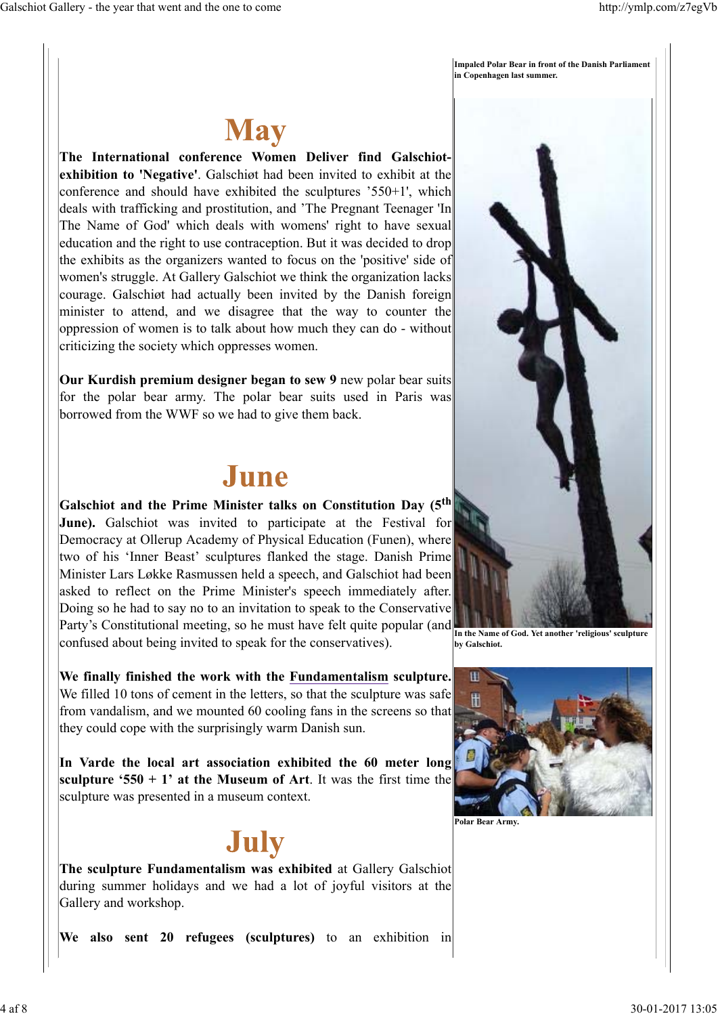**Impaled Polar Bear in front of the Danish Parliament in Copenhagen last summer.**



**The International conference Women Deliver find Galschiotexhibition to 'Negative'**. Galschiøt had been invited to exhibit at the conference and should have exhibited the sculptures '550+1', which deals with trafficking and prostitution, and 'The Pregnant Teenager 'In The Name of God' which deals with womens' right to have sexual education and the right to use contraception. But it was decided to drop the exhibits as the organizers wanted to focus on the 'positive' side of women's struggle. At Gallery Galschiot we think the organization lacks courage. Galschiøt had actually been invited by the Danish foreign minister to attend, and we disagree that the way to counter the oppression of women is to talk about how much they can do - without criticizing the society which oppresses women.

**Our Kurdish premium designer began to sew 9** new polar bear suits for the polar bear army. The polar bear suits used in Paris was borrowed from the WWF so we had to give them back.

#### June

**Galschiot and the Prime Minister talks on Constitution Day (5th June).** Galschiot was invited to participate at the Festival for Democracy at Ollerup Academy of Physical Education (Funen), where two of his 'Inner Beast' sculptures flanked the stage. Danish Prime Minister Lars Løkke Rasmussen held a speech, and Galschiot had been asked to reflect on the Prime Minister's speech immediately after. Doing so he had to say no to an invitation to speak to the Conservative Party's Constitutional meeting, so he must have felt quite popular (and confused about being invited to speak for the conservatives).

**We finally finished the work with the Fundamentalism sculpture.** We filled 10 tons of cement in the letters, so that the sculpture was safe from vandalism, and we mounted 60 cooling fans in the screens so that they could cope with the surprisingly warm Danish sun.

**In Varde the local art association exhibited the 60 meter long sculpture '550 + 1' at the Museum of Art**. It was the first time the sculpture was presented in a museum context.

### July

**The sculpture Fundamentalism was exhibited** at Gallery Galschiot during summer holidays and we had a lot of joyful visitors at the Gallery and workshop.

**We also sent 20 refugees (sculptures)** to an exhibition in



**In the Name of God. Yet another 'religious' sculpture by Galschiot.**



**Polar Bear Army.**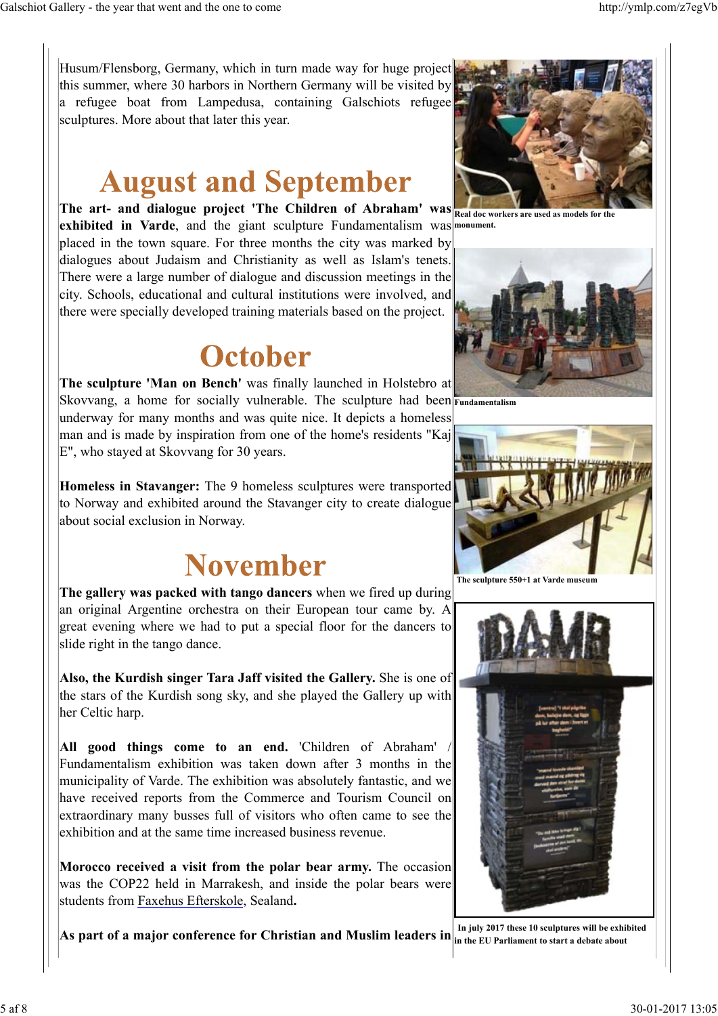Husum/Flensborg, Germany, which in turn made way for huge project this summer, where 30 harbors in Northern Germany will be visited by a refugee boat from Lampedusa, containing Galschiots refugee sculptures. More about that later this year.

### **August and September**

**The art- and dialogue project 'The Children of Abraham' was exhibited in Varde**, and the giant sculpture Fundamentalism was **monument.** placed in the town square. For three months the city was marked by dialogues about Judaism and Christianity as well as Islam's tenets. There were a large number of dialogue and discussion meetings in the city. Schools, educational and cultural institutions were involved, and there were specially developed training materials based on the project.

### **October**

**The sculpture 'Man on Bench'** was finally launched in Holstebro at Skovvang, a home for socially vulnerable. The sculpture had been **Fundamentalism** underway for many months and was quite nice. It depicts a homeless man and is made by inspiration from one of the home's residents "Kaj E", who stayed at Skovvang for 30 years.

**Homeless in Stavanger:** The 9 homeless sculptures were transported to Norway and exhibited around the Stavanger city to create dialogue about social exclusion in Norway.

## **November**

**The gallery was packed with tango dancers** when we fired up during an original Argentine orchestra on their European tour came by. A great evening where we had to put a special floor for the dancers to slide right in the tango dance.

**Also, the Kurdish singer Tara Jaff visited the Gallery.** She is one of the stars of the Kurdish song sky, and she played the Gallery up with her Celtic harp.

**All good things come to an end.** 'Children of Abraham' / Fundamentalism exhibition was taken down after 3 months in the municipality of Varde. The exhibition was absolutely fantastic, and we have received reports from the Commerce and Tourism Council on extraordinary many busses full of visitors who often came to see the exhibition and at the same time increased business revenue.

**Morocco received a visit from the polar bear army.** The occasion was the COP22 held in Marrakesh, and inside the polar bears were students from Faxehus Efterskole, Sealand**.**

**As part of a major conference for Christian and Muslim leaders in in the EU Parliament to start a debate about**



**Real doc workers are used as models for the**





 **The sculpture 550+1 at Varde museum**



**In july 2017 these 10 sculptures will be exhibited**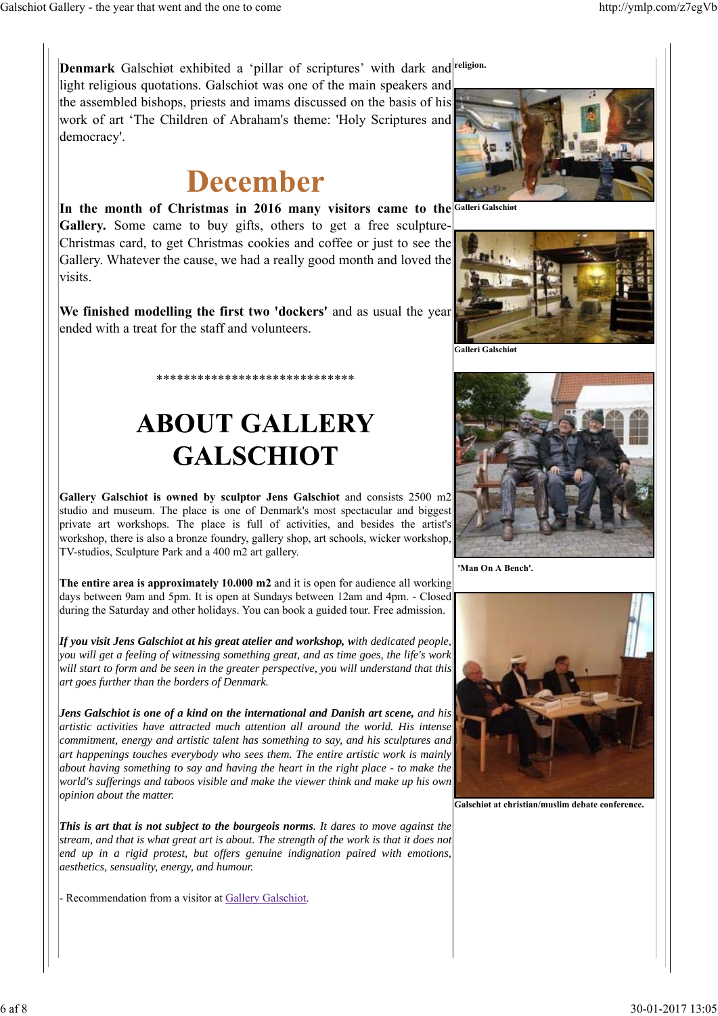Denmark Galschiøt exhibited a 'pillar of scriptures' with dark and religion. light religious quotations. Galschiot was one of the main speakers and

the assembled bishops, priests and imams discussed on the basis of his work of art 'The Children of Abraham's theme: 'Holy Scriptures and democracy'.

## **December**

In the month of Christmas in 2016 many visitors came to the Galleri Galschiot **Gallery.** Some came to buy gifts, others to get a free sculpture-Christmas card, to get Christmas cookies and coffee or just to see the Gallery. Whatever the cause, we had a really good month and loved the visits.

**We finished modelling the first two 'dockers'** and as usual the year ended with a treat for the staff and volunteers.

\*\*\*\*\*\*\*\*\*\*\*\*\*\*\*\*\*\*\*\*\*\*\*\*\*\*\*\*\*

# **ABOUT GALLERY GALSCHIOT**

**Gallery Galschiot is owned by sculptor Jens Galschiot** and consists 2500 m2 studio and museum. The place is one of Denmark's most spectacular and biggest private art workshops. The place is full of activities, and besides the artist's workshop, there is also a bronze foundry, gallery shop, art schools, wicker workshop, TV-studios, Sculpture Park and a 400 m2 art gallery.

**The entire area is approximately 10.000 m2** and it is open for audience all working days between 9am and 5pm. It is open at Sundays between 12am and 4pm. - Closed during the Saturday and other holidays. You can book a guided tour. Free admission.

*If you visit Jens Galschiot at his great atelier and workshop, with dedicated people, you will get a feeling of witnessing something great, and as time goes, the life's work will start to form and be seen in the greater perspective, you will understand that this art goes further than the borders of Denmark.*

*Jens Galschiot is one of a kind on the international and Danish art scene, and his artistic activities have attracted much attention all around the world. His intense commitment, energy and artistic talent has something to say, and his sculptures and art happenings touches everybody who sees them. The entire artistic work is mainly about having something to say and having the heart in the right place - to make the world's sufferings and taboos visible and make the viewer think and make up his own opinion about the matter.*

*This is art that is not subject to the bourgeois norms. It dares to move against the stream, and that is what great art is about. The strength of the work is that it does not end up in a rigid protest, but offers genuine indignation paired with emotions, aesthetics, sensuality, energy, and humour.*

- Recommendation from a visitor at Gallery Galschiot.





**.**<br>Galleri Galschiø



**'Man On A Bench'.**



**Galschiøt at christian/muslim debate conference.**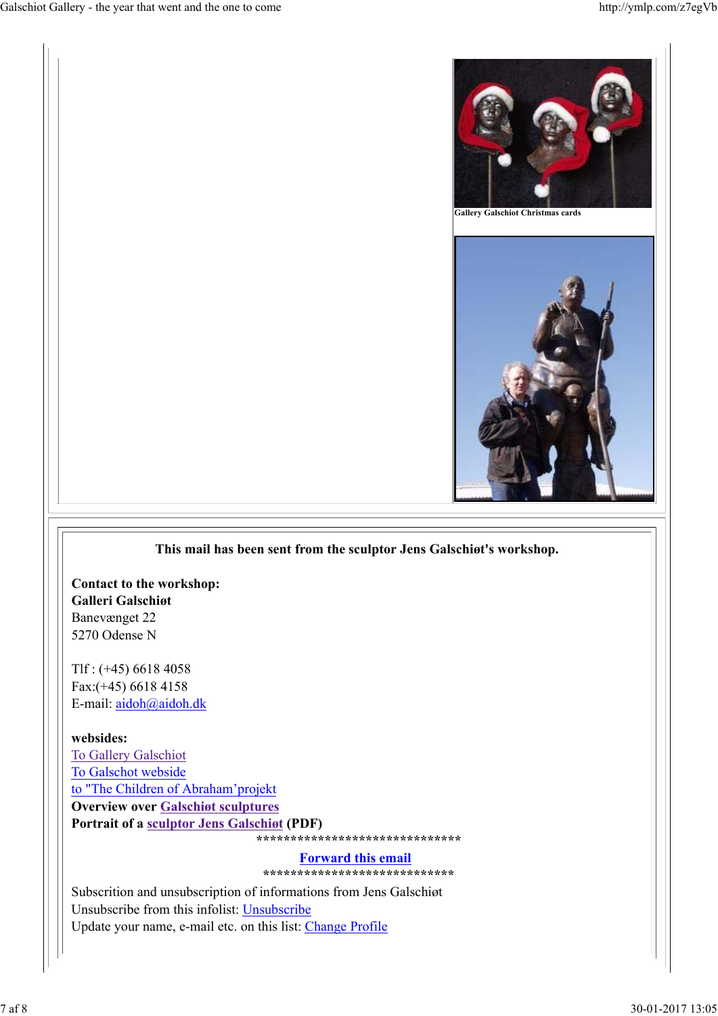

#### **This mail has been sent from the sculptor Jens Galschiøt's workshop.**

**Contact to the workshop: Galleri Galschiøt** Banevænget 22 5270 Odense N

Tlf : (+45) 6618 4058 Fax:(+45) 6618 4158 E-mail: aidoh@aidoh.dk

**websides:**

To Gallery Galschiot To Galschot webside to "The Children of Abraham'projekt **Overview over Galschiøt sculptures Portrait of a sculptor Jens Galschiøt (PDF) \*\*\*\*\*\*\*\*\*\*\*\*\*\*\*\*\*\*\*\*\*\*\*\*\*\*\*\*\*\*** 

#### **Forward this email**

**\*\*\*\*\*\*\*\*\*\*\*\*\*\*\*\*\*\*\*\*\*\*\*\*\*\*\*\***

Subscrition and unsubscription of informations from Jens Galschiøt Unsubscribe from this infolist: Unsubscribe Update your name, e-mail etc. on this list: Change Profile